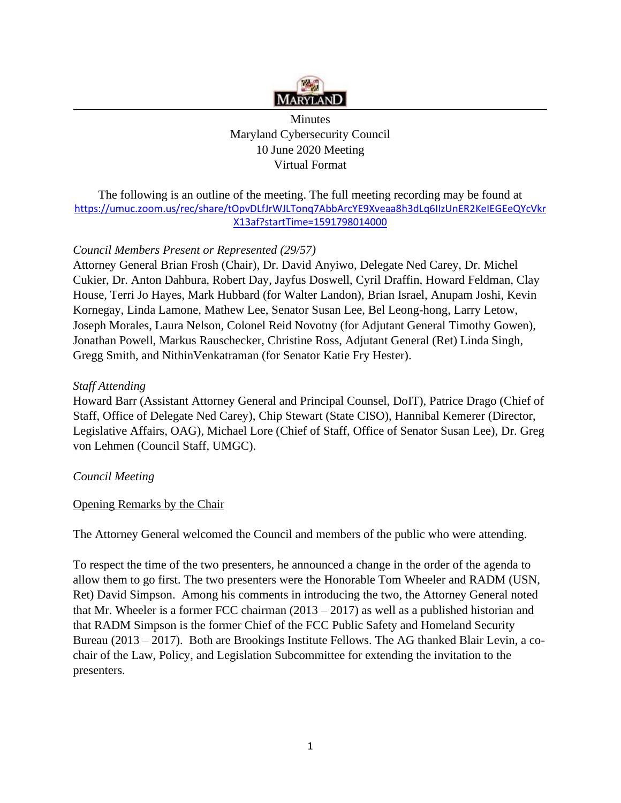

**Minutes** Maryland Cybersecurity Council 10 June 2020 Meeting Virtual Format

The following is an outline of the meeting. The full meeting recording may be found at [https://umuc.zoom.us/rec/share/tOpvDLfJrWJLTonq7AbbArcYE9Xveaa8h3dLq6IIzUnER2KeIEGEeQYcVkr](https://nam03.safelinks.protection.outlook.com/?url=https%3A%2F%2Fumuc.zoom.us%2Frec%2Fshare%2FtOpvDLfJrWJLTonq7AbbArcYE9Xveaa8h3dLq6IIzUnER2KeIEGEeQYcVkrX13af%3FstartTime%3D1591798014000&data=02%7C01%7CGregory.VonLehmen%40umgc.edu%7C12fda1bc462841b005d008d80d74fb98%7C704ce3d6a4bf4e098516d52840c9f7a9%7C0%7C0%7C637274143809478663&sdata=I2ObK0ZPbOsBHPId4MVDj1oytkvJF%2F3cUdfKqqSC4XQ%3D&reserved=0) [X13af?startTime=1591798014000](https://nam03.safelinks.protection.outlook.com/?url=https%3A%2F%2Fumuc.zoom.us%2Frec%2Fshare%2FtOpvDLfJrWJLTonq7AbbArcYE9Xveaa8h3dLq6IIzUnER2KeIEGEeQYcVkrX13af%3FstartTime%3D1591798014000&data=02%7C01%7CGregory.VonLehmen%40umgc.edu%7C12fda1bc462841b005d008d80d74fb98%7C704ce3d6a4bf4e098516d52840c9f7a9%7C0%7C0%7C637274143809478663&sdata=I2ObK0ZPbOsBHPId4MVDj1oytkvJF%2F3cUdfKqqSC4XQ%3D&reserved=0)

# *Council Members Present or Represented (29/57)*

Attorney General Brian Frosh (Chair), Dr. David Anyiwo, Delegate Ned Carey, Dr. Michel Cukier, Dr. Anton Dahbura, Robert Day, Jayfus Doswell, Cyril Draffin, Howard Feldman, Clay House, Terri Jo Hayes, Mark Hubbard (for Walter Landon), Brian Israel, Anupam Joshi, Kevin Kornegay, Linda Lamone, Mathew Lee, Senator Susan Lee, Bel Leong-hong, Larry Letow, Joseph Morales, Laura Nelson, Colonel Reid Novotny (for Adjutant General Timothy Gowen), Jonathan Powell, Markus Rauschecker, Christine Ross, Adjutant General (Ret) Linda Singh, Gregg Smith, and NithinVenkatraman (for Senator Katie Fry Hester).

### *Staff Attending*

Howard Barr (Assistant Attorney General and Principal Counsel, DoIT), Patrice Drago (Chief of Staff, Office of Delegate Ned Carey), Chip Stewart (State CISO), Hannibal Kemerer (Director, Legislative Affairs, OAG), Michael Lore (Chief of Staff, Office of Senator Susan Lee), Dr. Greg von Lehmen (Council Staff, UMGC).

## *Council Meeting*

#### Opening Remarks by the Chair

The Attorney General welcomed the Council and members of the public who were attending.

To respect the time of the two presenters, he announced a change in the order of the agenda to allow them to go first. The two presenters were the Honorable Tom Wheeler and RADM (USN, Ret) David Simpson. Among his comments in introducing the two, the Attorney General noted that Mr. Wheeler is a former FCC chairman (2013 – 2017) as well as a published historian and that RADM Simpson is the former Chief of the FCC Public Safety and Homeland Security Bureau (2013 – 2017). Both are Brookings Institute Fellows. The AG thanked Blair Levin, a cochair of the Law, Policy, and Legislation Subcommittee for extending the invitation to the presenters.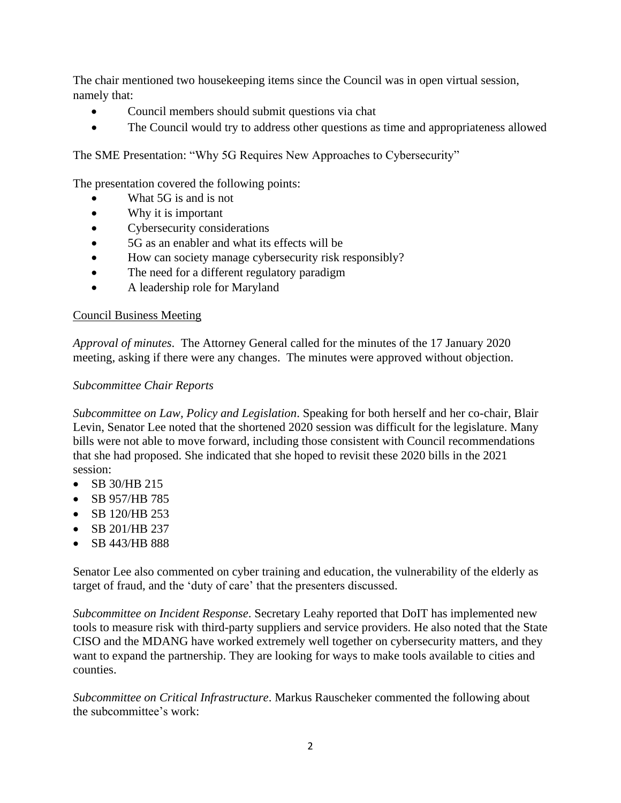The chair mentioned two housekeeping items since the Council was in open virtual session, namely that:

- Council members should submit questions via chat
- The Council would try to address other questions as time and appropriateness allowed

The SME Presentation: "Why 5G Requires New Approaches to Cybersecurity"

The presentation covered the following points:

- What 5G is and is not
- Why it is important
- Cybersecurity considerations
- 5G as an enabler and what its effects will be
- How can society manage cybersecurity risk responsibly?
- The need for a different regulatory paradigm
- A leadership role for Maryland

### Council Business Meeting

*Approval of minutes*. The Attorney General called for the minutes of the 17 January 2020 meeting, asking if there were any changes. The minutes were approved without objection.

## *Subcommittee Chair Reports*

*Subcommittee on Law, Policy and Legislation*. Speaking for both herself and her co-chair, Blair Levin, Senator Lee noted that the shortened 2020 session was difficult for the legislature. Many bills were not able to move forward, including those consistent with Council recommendations that she had proposed. She indicated that she hoped to revisit these 2020 bills in the 2021 session:

- SB 30/HB 215
- SB 957/HB 785
- SB 120/HB 253
- SB 201/HB 237
- SB 443/HB 888

Senator Lee also commented on cyber training and education, the vulnerability of the elderly as target of fraud, and the 'duty of care' that the presenters discussed.

*Subcommittee on Incident Response*. Secretary Leahy reported that DoIT has implemented new tools to measure risk with third-party suppliers and service providers. He also noted that the State CISO and the MDANG have worked extremely well together on cybersecurity matters, and they want to expand the partnership. They are looking for ways to make tools available to cities and counties.

*Subcommittee on Critical Infrastructure*. Markus Rauscheker commented the following about the subcommittee's work: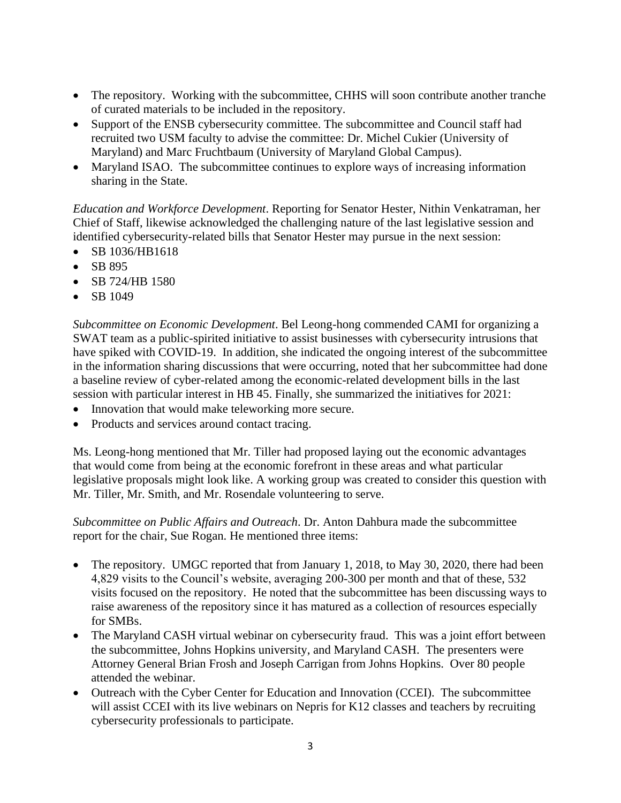- The repository. Working with the subcommittee, CHHS will soon contribute another tranche of curated materials to be included in the repository.
- Support of the ENSB cybersecurity committee. The subcommittee and Council staff had recruited two USM faculty to advise the committee: Dr. Michel Cukier (University of Maryland) and Marc Fruchtbaum (University of Maryland Global Campus).
- Maryland ISAO. The subcommittee continues to explore ways of increasing information sharing in the State.

*Education and Workforce Development*. Reporting for Senator Hester, Nithin Venkatraman, her Chief of Staff, likewise acknowledged the challenging nature of the last legislative session and identified cybersecurity-related bills that Senator Hester may pursue in the next session:

- SB 1036/HB1618
- SB 895
- SB 724/HB 1580
- SB 1049

*Subcommittee on Economic Development*. Bel Leong-hong commended CAMI for organizing a SWAT team as a public-spirited initiative to assist businesses with cybersecurity intrusions that have spiked with COVID-19. In addition, she indicated the ongoing interest of the subcommittee in the information sharing discussions that were occurring, noted that her subcommittee had done a baseline review of cyber-related among the economic-related development bills in the last session with particular interest in HB 45. Finally, she summarized the initiatives for 2021:

- Innovation that would make teleworking more secure.
- Products and services around contact tracing.

Ms. Leong-hong mentioned that Mr. Tiller had proposed laying out the economic advantages that would come from being at the economic forefront in these areas and what particular legislative proposals might look like. A working group was created to consider this question with Mr. Tiller, Mr. Smith, and Mr. Rosendale volunteering to serve.

*Subcommittee on Public Affairs and Outreach*. Dr. Anton Dahbura made the subcommittee report for the chair, Sue Rogan. He mentioned three items:

- The repository. UMGC reported that from January 1, 2018, to May 30, 2020, there had been 4,829 visits to the Council's website, averaging 200-300 per month and that of these, 532 visits focused on the repository. He noted that the subcommittee has been discussing ways to raise awareness of the repository since it has matured as a collection of resources especially for SMBs.
- The Maryland CASH virtual webinar on cybersecurity fraud. This was a joint effort between the subcommittee, Johns Hopkins university, and Maryland CASH. The presenters were Attorney General Brian Frosh and Joseph Carrigan from Johns Hopkins. Over 80 people attended the webinar.
- Outreach with the Cyber Center for Education and Innovation (CCEI). The subcommittee will assist CCEI with its live webinars on Nepris for K12 classes and teachers by recruiting cybersecurity professionals to participate.